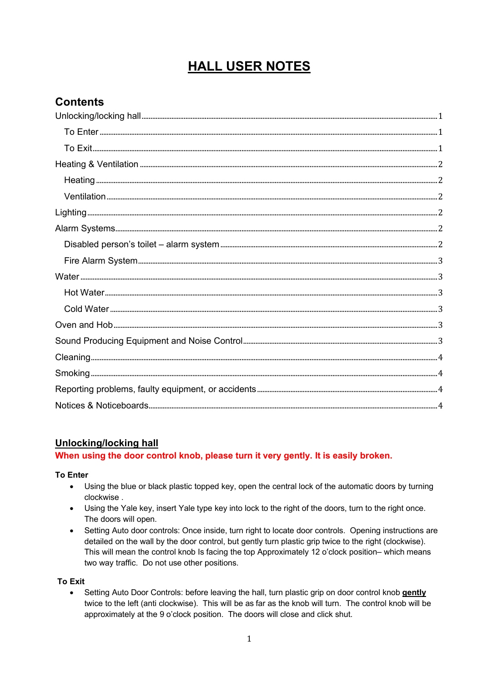# **HALL USER NOTES**

# **Contents**

# **Unlocking/locking hall**

#### When using the door control knob, please turn it very gently. It is easily broken.

**To Enter** 

- Using the blue or black plastic topped key, open the central lock of the automatic doors by turning clockwise.
- Using the Yale key, insert Yale type key into lock to the right of the doors, turn to the right once. The doors will open.
- Setting Auto door controls: Once inside, turn right to locate door controls. Opening instructions are detailed on the wall by the door control, but gently turn plastic grip twice to the right (clockwise). This will mean the control knob Is facing the top Approximately 12 o'clock position- which means two way traffic. Do not use other positions.

#### **To Exit**

Setting Auto Door Controls: before leaving the hall, turn plastic grip on door control knob gently  $\bullet$ twice to the left (anti clockwise). This will be as far as the knob will turn. The control knob will be approximately at the 9 o'clock position. The doors will close and click shut.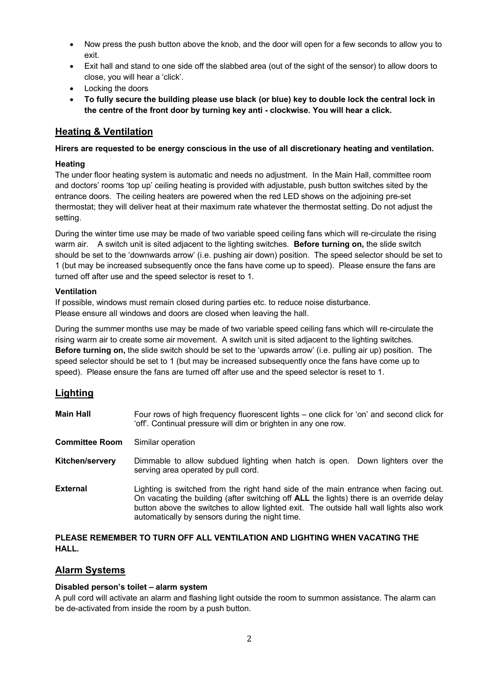- <span id="page-1-0"></span> Now press the push button above the knob, and the door will open for a few seconds to allow you to exit.
- Exit hall and stand to one side off the slabbed area (out of the sight of the sensor) to allow doors to close, you will hear a 'click'.
- Locking the doors
- **To fully secure the building please use black (or blue) key to double lock the central lock in the centre of the front door by turning key anti - clockwise. You will hear a click.**

# **Heating & Ventilation**

#### **Hirers are requested to be energy conscious in the use of all discretionary heating and ventilation.**

#### **Heating**

The under floor heating system is automatic and needs no adjustment. In the Main Hall, committee room and doctors' rooms 'top up' ceiling heating is provided with adjustable, push button switches sited by the entrance doors. The ceiling heaters are powered when the red LED shows on the adjoining pre-set thermostat; they will deliver heat at their maximum rate whatever the thermostat setting. Do not adjust the setting.

During the winter time use may be made of two variable speed ceiling fans which will re-circulate the rising warm air. A switch unit is sited adjacent to the lighting switches. **Before turning on,** the slide switch should be set to the 'downwards arrow' (i.e. pushing air down) position. The speed selector should be set to 1 (but may be increased subsequently once the fans have come up to speed). Please ensure the fans are turned off after use and the speed selector is reset to 1.

#### **Ventilation**

If possible, windows must remain closed during parties etc. to reduce noise disturbance. Please ensure all windows and doors are closed when leaving the hall.

During the summer months use may be made of two variable speed ceiling fans which will re-circulate the rising warm air to create some air movement. A switch unit is sited adjacent to the lighting switches. **Before turning on,** the slide switch should be set to the 'upwards arrow' (i.e. pulling air up) position. The speed selector should be set to 1 (but may be increased subsequently once the fans have come up to speed). Please ensure the fans are turned off after use and the speed selector is reset to 1.

# **Lighting**

| <b>Main Hall</b>      | Four rows of high frequency fluorescent lights – one click for 'on' and second click for<br>'off'. Continual pressure will dim or brighten in any one row.                                                                                                                                                                    |
|-----------------------|-------------------------------------------------------------------------------------------------------------------------------------------------------------------------------------------------------------------------------------------------------------------------------------------------------------------------------|
| <b>Committee Room</b> | Similar operation                                                                                                                                                                                                                                                                                                             |
| Kitchen/servery       | Dimmable to allow subdued lighting when hatch is open.<br>Down lighters over the<br>serving area operated by pull cord.                                                                                                                                                                                                       |
| <b>External</b>       | Lighting is switched from the right hand side of the main entrance when facing out.<br>On vacating the building (after switching off ALL the lights) there is an override delay<br>button above the switches to allow lighted exit. The outside hall wall lights also work<br>automatically by sensors during the night time. |

#### **PLEASE REMEMBER TO TURN OFF ALL VENTILATION AND LIGHTING WHEN VACATING THE HALL.**

# **Alarm Systems**

#### **Disabled person's toilet – alarm system**

A pull cord will activate an alarm and flashing light outside the room to summon assistance. The alarm can be de-activated from inside the room by a push button.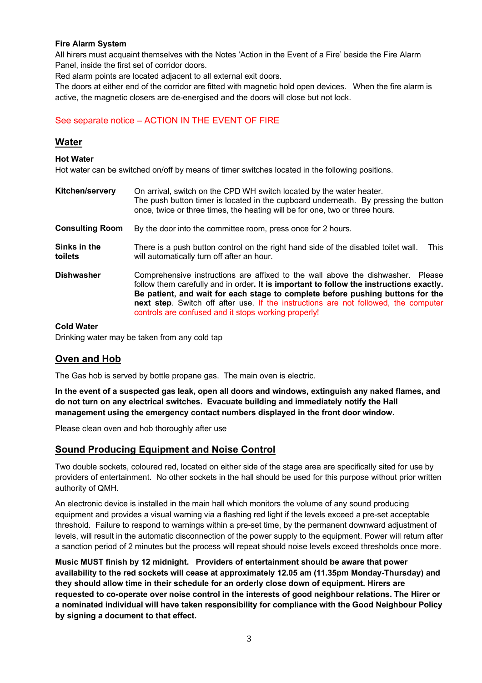#### <span id="page-2-0"></span>**Fire Alarm System**

All hirers must acquaint themselves with the Notes 'Action in the Event of a Fire' beside the Fire Alarm Panel, inside the first set of corridor doors.

Red alarm points are located adjacent to all external exit doors.

The doors at either end of the corridor are fitted with magnetic hold open devices. When the fire alarm is active, the magnetic closers are de-energised and the doors will close but not lock.

# See separate notice – ACTION IN THE EVENT OF FIRE

# **Water**

#### **Hot Water**

Hot water can be switched on/off by means of timer switches located in the following positions.

| <b>Kitchen/servery</b>  | On arrival, switch on the CPD WH switch located by the water heater.<br>The push button timer is located in the cupboard underneath. By pressing the button<br>once, twice or three times, the heating will be for one, two or three hours.                                                                                                                                                                 |
|-------------------------|-------------------------------------------------------------------------------------------------------------------------------------------------------------------------------------------------------------------------------------------------------------------------------------------------------------------------------------------------------------------------------------------------------------|
| <b>Consulting Room</b>  | By the door into the committee room, press once for 2 hours.                                                                                                                                                                                                                                                                                                                                                |
| Sinks in the<br>toilets | There is a push button control on the right hand side of the disabled toilet wall.<br><b>This</b><br>will automatically turn off after an hour.                                                                                                                                                                                                                                                             |
| <b>Dishwasher</b>       | Comprehensive instructions are affixed to the wall above the dishwasher. Please<br>follow them carefully and in order. It is important to follow the instructions exactly.<br>Be patient, and wait for each stage to complete before pushing buttons for the<br>next step. Switch off after use. If the instructions are not followed, the computer<br>controls are confused and it stops working properly! |

#### **Cold Water**

Drinking water may be taken from any cold tap

# **Oven and Hob**

The Gas hob is served by bottle propane gas. The main oven is electric.

**In the event of a suspected gas leak, open all doors and windows, extinguish any naked flames, and do not turn on any electrical switches. Evacuate building and immediately notify the Hall management using the emergency contact numbers displayed in the front door window.**

Please clean oven and hob thoroughly after use

#### **Sound Producing Equipment and Noise Control**

Two double sockets, coloured red, located on either side of the stage area are specifically sited for use by providers of entertainment. No other sockets in the hall should be used for this purpose without prior written authority of QMH.

An electronic device is installed in the main hall which monitors the volume of any sound producing equipment and provides a visual warning via a flashing red light if the levels exceed a pre-set acceptable threshold. Failure to respond to warnings within a pre-set time, by the permanent downward adjustment of levels, will result in the automatic disconnection of the power supply to the equipment. Power will return after a sanction period of 2 minutes but the process will repeat should noise levels exceed thresholds once more.

**Music MUST finish by 12 midnight. Providers of entertainment should be aware that power availability to the red sockets will cease at approximately 12.05 am (11.35pm Monday-Thursday) and they should allow time in their schedule for an orderly close down of equipment. Hirers are requested to co-operate over noise control in the interests of good neighbour relations. The Hirer or a nominated individual will have taken responsibility for compliance with the Good Neighbour Policy by signing a document to that effect.**